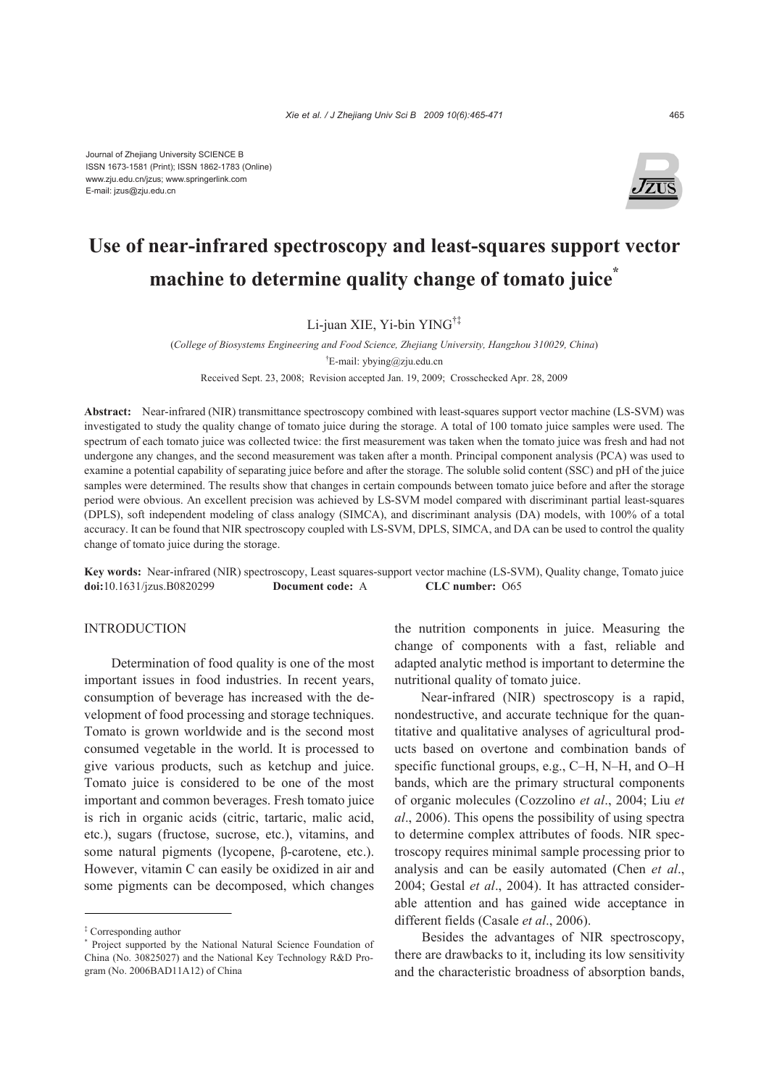

# **Use of near-infrared spectroscopy and least-squares support vector**  machine to determine quality change of tomato juice<sup>\*</sup>

Li-juan XIE, Yi-bin YING†‡

(*College of Biosystems Engineering and Food Science, Zhejiang University, Hangzhou 310029, China*) † E-mail: ybying@zju.edu.cn Received Sept. 23, 2008; Revision accepted Jan. 19, 2009; Crosschecked Apr. 28, 2009

**Abstract:** Near-infrared (NIR) transmittance spectroscopy combined with least-squares support vector machine (LS-SVM) was investigated to study the quality change of tomato juice during the storage. A total of 100 tomato juice samples were used. The spectrum of each tomato juice was collected twice: the first measurement was taken when the tomato juice was fresh and had not undergone any changes, and the second measurement was taken after a month. Principal component analysis (PCA) was used to examine a potential capability of separating juice before and after the storage. The soluble solid content (SSC) and pH of the juice samples were determined. The results show that changes in certain compounds between tomato juice before and after the storage period were obvious. An excellent precision was achieved by LS-SVM model compared with discriminant partial least-squares (DPLS), soft independent modeling of class analogy (SIMCA), and discriminant analysis (DA) models, with 100% of a total accuracy. It can be found that NIR spectroscopy coupled with LS-SVM, DPLS, SIMCA, and DA can be used to control the quality change of tomato juice during the storage.

**Key words:** Near-infrared (NIR) spectroscopy, Least squares-support vector machine (LS-SVM), Quality change, Tomato juice **doi:**10.1631/jzus.B0820299 **Document code:** A **CLC number:** O65

## INTRODUCTION

Determination of food quality is one of the most important issues in food industries. In recent years, consumption of beverage has increased with the development of food processing and storage techniques. Tomato is grown worldwide and is the second most consumed vegetable in the world. It is processed to give various products, such as ketchup and juice. Tomato juice is considered to be one of the most important and common beverages. Fresh tomato juice is rich in organic acids (citric, tartaric, malic acid, etc.), sugars (fructose, sucrose, etc.), vitamins, and some natural pigments (lycopene, β-carotene, etc.). However, vitamin C can easily be oxidized in air and some pigments can be decomposed, which changes

the nutrition components in juice. Measuring the change of components with a fast, reliable and adapted analytic method is important to determine the nutritional quality of tomato juice.

Near-infrared (NIR) spectroscopy is a rapid, nondestructive, and accurate technique for the quantitative and qualitative analyses of agricultural products based on overtone and combination bands of specific functional groups, e.g., C–H, N–H, and O–H bands, which are the primary structural components of organic molecules (Cozzolino *et al*., 2004; Liu *et al*., 2006). This opens the possibility of using spectra to determine complex attributes of foods. NIR spectroscopy requires minimal sample processing prior to analysis and can be easily automated (Chen *et al*., 2004; Gestal *et al*., 2004). It has attracted considerable attention and has gained wide acceptance in different fields (Casale *et al*., 2006).

Besides the advantages of NIR spectroscopy, there are drawbacks to it, including its low sensitivity and the characteristic broadness of absorption bands,

<sup>‡</sup> Corresponding author

<sup>\*</sup> Project supported by the National Natural Science Foundation of China (No. 30825027) and the National Key Technology R&D Program (No. 2006BAD11A12) of China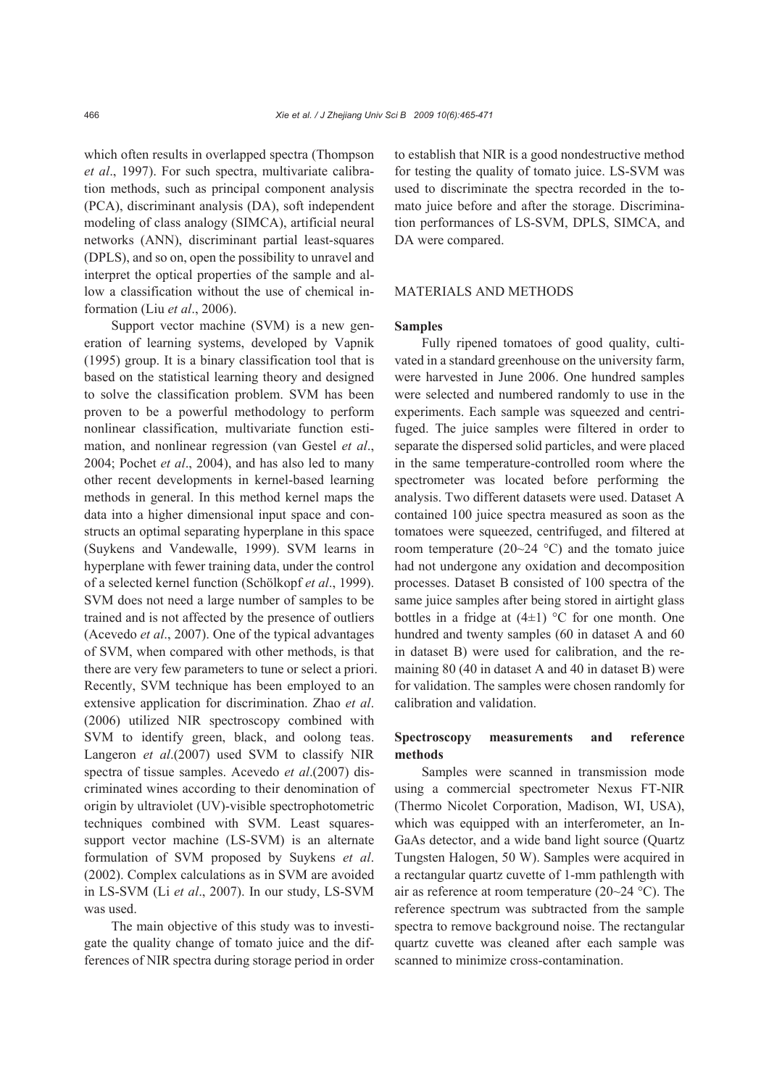which often results in overlapped spectra (Thompson *et al*., 1997). For such spectra, multivariate calibration methods, such as principal component analysis (PCA), discriminant analysis (DA), soft independent modeling of class analogy (SIMCA), artificial neural networks (ANN), discriminant partial least-squares (DPLS), and so on, open the possibility to unravel and interpret the optical properties of the sample and allow a classification without the use of chemical information (Liu *et al*., 2006).

Support vector machine (SVM) is a new generation of learning systems, developed by Vapnik (1995) group. It is a binary classification tool that is based on the statistical learning theory and designed to solve the classification problem. SVM has been proven to be a powerful methodology to perform nonlinear classification, multivariate function estimation, and nonlinear regression (van Gestel *et al*., 2004; Pochet *et al*., 2004), and has also led to many other recent developments in kernel-based learning methods in general. In this method kernel maps the data into a higher dimensional input space and constructs an optimal separating hyperplane in this space (Suykens and Vandewalle, 1999). SVM learns in hyperplane with fewer training data, under the control of a selected kernel function (Schölkopf *et al*., 1999). SVM does not need a large number of samples to be trained and is not affected by the presence of outliers (Acevedo *et al*., 2007). One of the typical advantages of SVM, when compared with other methods, is that there are very few parameters to tune or select a priori. Recently, SVM technique has been employed to an extensive application for discrimination. Zhao *et al*. (2006) utilized NIR spectroscopy combined with SVM to identify green, black, and oolong teas. Langeron *et al*.(2007) used SVM to classify NIR spectra of tissue samples. Acevedo *et al*.(2007) discriminated wines according to their denomination of origin by ultraviolet (UV)-visible spectrophotometric techniques combined with SVM. Least squaressupport vector machine (LS-SVM) is an alternate formulation of SVM proposed by Suykens *et al*. (2002). Complex calculations as in SVM are avoided in LS-SVM (Li *et al*., 2007). In our study, LS-SVM was used.

The main objective of this study was to investigate the quality change of tomato juice and the differences of NIR spectra during storage period in order to establish that NIR is a good nondestructive method for testing the quality of tomato juice. LS-SVM was used to discriminate the spectra recorded in the tomato juice before and after the storage. Discrimination performances of LS-SVM, DPLS, SIMCA, and DA were compared.

## MATERIALS AND METHODS

#### **Samples**

Fully ripened tomatoes of good quality, cultivated in a standard greenhouse on the university farm, were harvested in June 2006. One hundred samples were selected and numbered randomly to use in the experiments. Each sample was squeezed and centrifuged. The juice samples were filtered in order to separate the dispersed solid particles, and were placed in the same temperature-controlled room where the spectrometer was located before performing the analysis. Two different datasets were used. Dataset A contained 100 juice spectra measured as soon as the tomatoes were squeezed, centrifuged, and filtered at room temperature  $(20-24 \degree C)$  and the tomato juice had not undergone any oxidation and decomposition processes. Dataset B consisted of 100 spectra of the same juice samples after being stored in airtight glass bottles in a fridge at  $(4\pm 1)$  °C for one month. One hundred and twenty samples (60 in dataset A and 60 in dataset B) were used for calibration, and the remaining 80 (40 in dataset A and 40 in dataset B) were for validation. The samples were chosen randomly for calibration and validation.

## **Spectroscopy measurements and reference methods**

Samples were scanned in transmission mode using a commercial spectrometer Nexus FT-NIR (Thermo Nicolet Corporation, Madison, WI, USA), which was equipped with an interferometer, an In-GaAs detector, and a wide band light source (Quartz Tungsten Halogen, 50 W). Samples were acquired in a rectangular quartz cuvette of 1-mm pathlength with air as reference at room temperature (20~24 °C). The reference spectrum was subtracted from the sample spectra to remove background noise. The rectangular quartz cuvette was cleaned after each sample was scanned to minimize cross-contamination.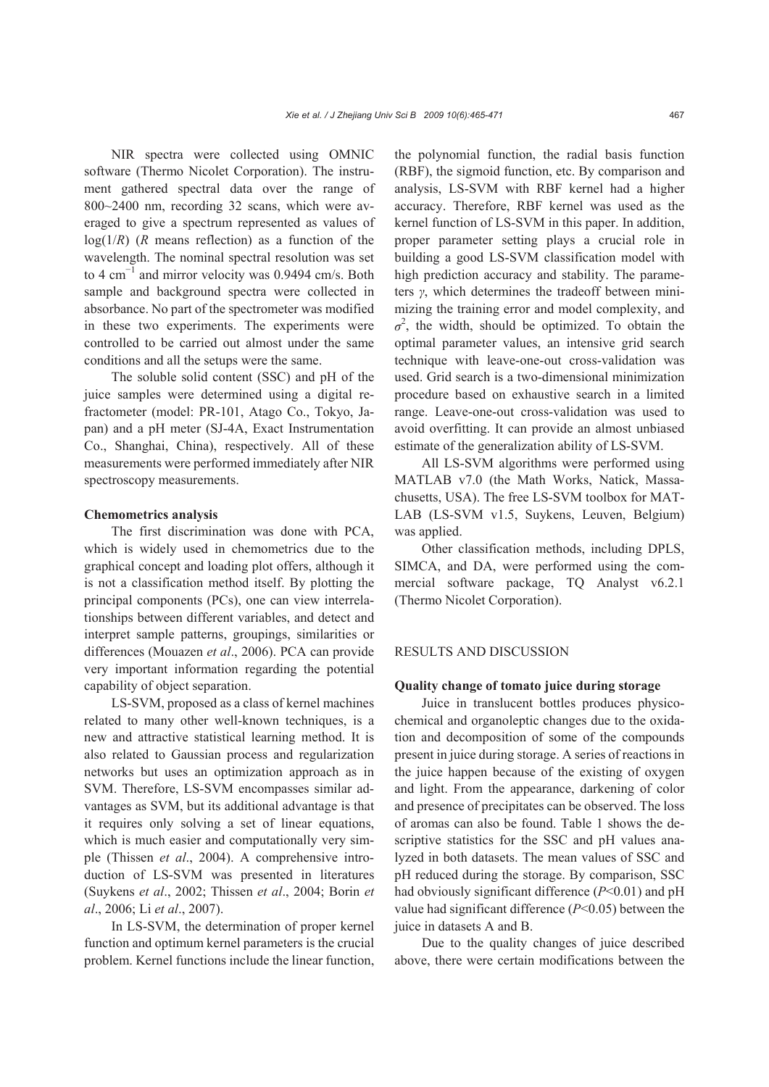NIR spectra were collected using OMNIC software (Thermo Nicolet Corporation). The instrument gathered spectral data over the range of 800~2400 nm, recording 32 scans, which were averaged to give a spectrum represented as values of  $log(1/R)$  (*R* means reflection) as a function of the wavelength. The nominal spectral resolution was set to 4 cm<sup>-1</sup> and mirror velocity was 0.9494 cm/s. Both sample and background spectra were collected in absorbance. No part of the spectrometer was modified in these two experiments. The experiments were controlled to be carried out almost under the same conditions and all the setups were the same.

The soluble solid content (SSC) and pH of the juice samples were determined using a digital refractometer (model: PR-101, Atago Co., Tokyo, Japan) and a pH meter (SJ-4A, Exact Instrumentation Co., Shanghai, China), respectively. All of these measurements were performed immediately after NIR spectroscopy measurements.

## **Chemometrics analysis**

The first discrimination was done with PCA, which is widely used in chemometrics due to the graphical concept and loading plot offers, although it is not a classification method itself. By plotting the principal components (PCs), one can view interrelationships between different variables, and detect and interpret sample patterns, groupings, similarities or differences (Mouazen *et al*., 2006). PCA can provide very important information regarding the potential capability of object separation.

LS-SVM, proposed as a class of kernel machines related to many other well-known techniques, is a new and attractive statistical learning method. It is also related to Gaussian process and regularization networks but uses an optimization approach as in SVM. Therefore, LS-SVM encompasses similar advantages as SVM, but its additional advantage is that it requires only solving a set of linear equations, which is much easier and computationally very simple (Thissen *et al*., 2004). A comprehensive introduction of LS-SVM was presented in literatures (Suykens *et al*., 2002; Thissen *et al*., 2004; Borin *et al*., 2006; Li *et al*., 2007).

In LS-SVM, the determination of proper kernel function and optimum kernel parameters is the crucial problem. Kernel functions include the linear function, the polynomial function, the radial basis function (RBF), the sigmoid function, etc. By comparison and analysis, LS-SVM with RBF kernel had a higher accuracy. Therefore, RBF kernel was used as the kernel function of LS-SVM in this paper. In addition, proper parameter setting plays a crucial role in building a good LS-SVM classification model with high prediction accuracy and stability. The parameters *γ*, which determines the tradeoff between minimizing the training error and model complexity, and  $\sigma^2$ , the width, should be optimized. To obtain the optimal parameter values, an intensive grid search technique with leave-one-out cross-validation was used. Grid search is a two-dimensional minimization procedure based on exhaustive search in a limited range. Leave-one-out cross-validation was used to avoid overfitting. It can provide an almost unbiased estimate of the generalization ability of LS-SVM.

All LS-SVM algorithms were performed using MATLAB v7.0 (the Math Works, Natick, Massachusetts, USA). The free LS-SVM toolbox for MAT-LAB (LS-SVM v1.5, Suykens, Leuven, Belgium) was applied.

Other classification methods, including DPLS, SIMCA, and DA, were performed using the commercial software package, TQ Analyst v6.2.1 (Thermo Nicolet Corporation).

#### RESULTS AND DISCUSSION

## **Quality change of tomato juice during storage**

Juice in translucent bottles produces physicochemical and organoleptic changes due to the oxidation and decomposition of some of the compounds present in juice during storage. A series of reactions in the juice happen because of the existing of oxygen and light. From the appearance, darkening of color and presence of precipitates can be observed. The loss of aromas can also be found. Table 1 shows the descriptive statistics for the SSC and pH values analyzed in both datasets. The mean values of SSC and pH reduced during the storage. By comparison, SSC had obviously significant difference (*P*<0.01) and pH value had significant difference (*P*<0.05) between the juice in datasets A and B.

Due to the quality changes of juice described above, there were certain modifications between the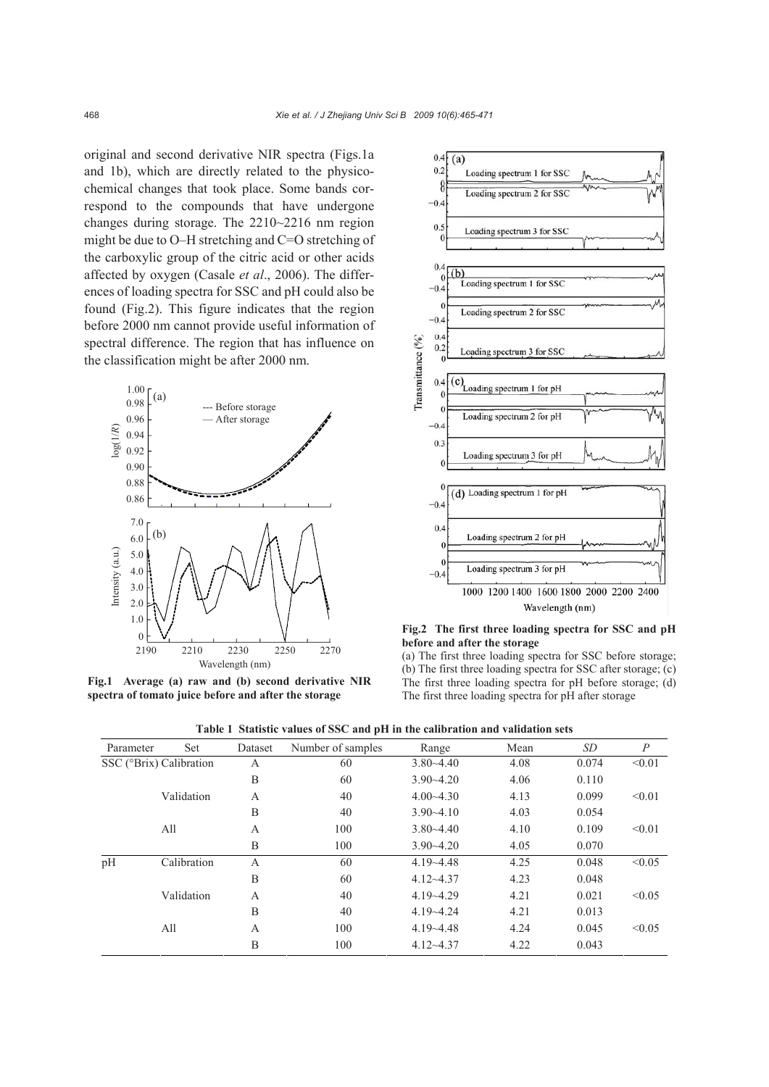original and second derivative NIR spectra (Figs.1a and 1b), which are directly related to the physicochemical changes that took place. Some bands correspond to the compounds that have undergone changes during storage. The 2210~2216 nm region might be due to O–H stretching and C=O stretching of the carboxylic group of the citric acid or other acids affected by oxygen (Casale *et al*., 2006). The differences of loading spectra for SSC and pH could also be found (Fig.2). This figure indicates that the region before 2000 nm cannot provide useful information of spectral difference. The region that has influence on the classification might be after 2000 nm.



**Fig.1 Average (a) raw and (b) second derivative NIR spectra of tomato juice before and after the storage**



 $\bigcirc$   $\bigcirc$   $\bigvee$  **Fig.2** The first three loading spectra for SSC and pH **before and after the storage** 

(a) The first three loading spectra for SSC before storage; (b) The first three loading spectra for SSC after storage; (c) The first three loading spectra for pH before storage; (d) The first three loading spectra for pH after storage

**Table 1 Statistic values of SSC and pH in the calibration and validation sets**

| Set<br>Parameter        |             | Dataset        | Number of samples | Range         | Mean | <i>SD</i> | $\boldsymbol{P}$ |
|-------------------------|-------------|----------------|-------------------|---------------|------|-----------|------------------|
| SSC (°Brix) Calibration |             | A              | 60                | $3.80 - 4.40$ | 4.08 | 0.074     | < 0.01           |
|                         |             | B              | 60                | $3.90 - 4.20$ | 4.06 | 0.110     |                  |
|                         | Validation  | A              | 40                | $4.00 - 4.30$ | 4.13 | 0.099     | < 0.01           |
|                         |             | B              | 40                | $3.90 - 4.10$ | 4.03 | 0.054     |                  |
|                         | All         | A              | 100               | $3.80 - 4.40$ | 4.10 | 0.109     | < 0.01           |
|                         |             | B              | 100               | $3.90 - 4.20$ | 4.05 | 0.070     |                  |
| pH                      | Calibration | A              | 60                | $4.19 - 4.48$ | 4.25 | 0.048     | < 0.05           |
|                         |             | B              | 60                | $4.12 - 4.37$ | 4.23 | 0.048     |                  |
|                         | Validation  | $\overline{A}$ | 40                | $4.19 - 4.29$ | 4.21 | 0.021     | < 0.05           |
|                         |             | B              | 40                | $4.19 - 4.24$ | 4.21 | 0.013     |                  |
|                         | All         | A              | 100               | $4.19 - 4.48$ | 4.24 | 0.045     | < 0.05           |
|                         |             | B              | 100               | $4.12 - 4.37$ | 4.22 | 0.043     |                  |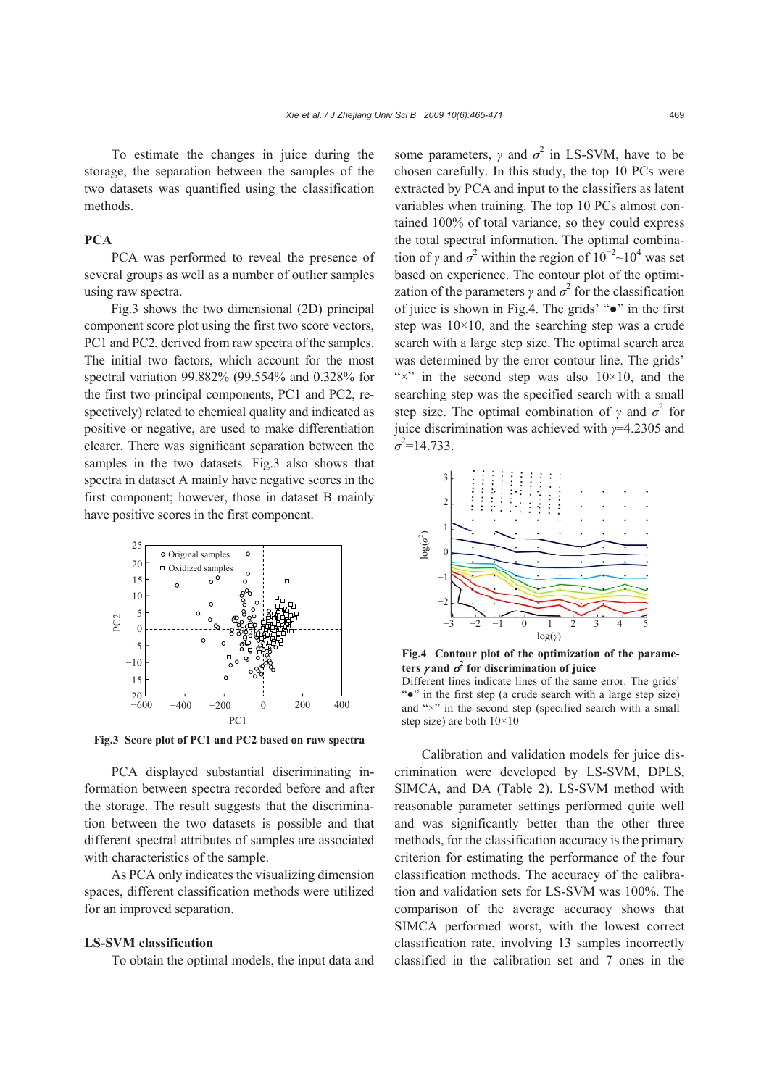To estimate the changes in juice during the storage, the separation between the samples of the two datasets was quantified using the classification methods.

## **PCA**

PCA was performed to reveal the presence of several groups as well as a number of outlier samples using raw spectra.

Fig.3 shows the two dimensional (2D) principal component score plot using the first two score vectors, PC1 and PC2, derived from raw spectra of the samples. The initial two factors, which account for the most spectral variation 99.882% (99.554% and 0.328% for the first two principal components, PC1 and PC2, respectively) related to chemical quality and indicated as positive or negative, are used to make differentiation clearer. There was significant separation between the samples in the two datasets. Fig.3 also shows that spectra in dataset A mainly have negative scores in the first component; however, those in dataset B mainly have positive scores in the first component.



**Fig.3 Score plot of PC1 and PC2 based on raw spectra**

PCA displayed substantial discriminating information between spectra recorded before and after the storage. The result suggests that the discrimination between the two datasets is possible and that different spectral attributes of samples are associated with characteristics of the sample.

As PCA only indicates the visualizing dimension spaces, different classification methods were utilized for an improved separation.

### **LS-SVM classification**

To obtain the optimal models, the input data and

some parameters,  $\gamma$  and  $\sigma^2$  in LS-SVM, have to be chosen carefully. In this study, the top 10 PCs were extracted by PCA and input to the classifiers as latent variables when training. The top 10 PCs almost contained 100% of total variance, so they could express the total spectral information. The optimal combination of *γ* and  $\sigma^2$  within the region of  $10^{-2}$ ~ $10^4$  was set based on experience. The contour plot of the optimization of the parameters  $\gamma$  and  $\sigma^2$  for the classification of juice is shown in Fig.4. The grids' "●" in the first step was  $10\times10$ , and the searching step was a crude search with a large step size. The optimal search area was determined by the error contour line. The grids' " $\times$ " in the second step was also 10 $\times$ 10, and the searching step was the specified search with a small step size. The optimal combination of  $\gamma$  and  $\sigma^2$  for juice discrimination was achieved with *γ*=4.2305 and  $\sigma^2$ =14.733.



**Fig.4 Contour plot of the optimization of the parameters**  $\gamma$  and  $\sigma^2$  for discrimination of juice Different lines indicate lines of the same error. The grids' "●" in the first step (a crude search with a large step size) and "×" in the second step (specified search with a small

step size) are both  $10\times10$ 

Calibration and validation models for juice discrimination were developed by LS-SVM, DPLS, SIMCA, and DA (Table 2). LS-SVM method with reasonable parameter settings performed quite well and was significantly better than the other three methods, for the classification accuracy is the primary criterion for estimating the performance of the four classification methods. The accuracy of the calibration and validation sets for LS-SVM was 100%. The comparison of the average accuracy shows that SIMCA performed worst, with the lowest correct classification rate, involving 13 samples incorrectly classified in the calibration set and 7 ones in the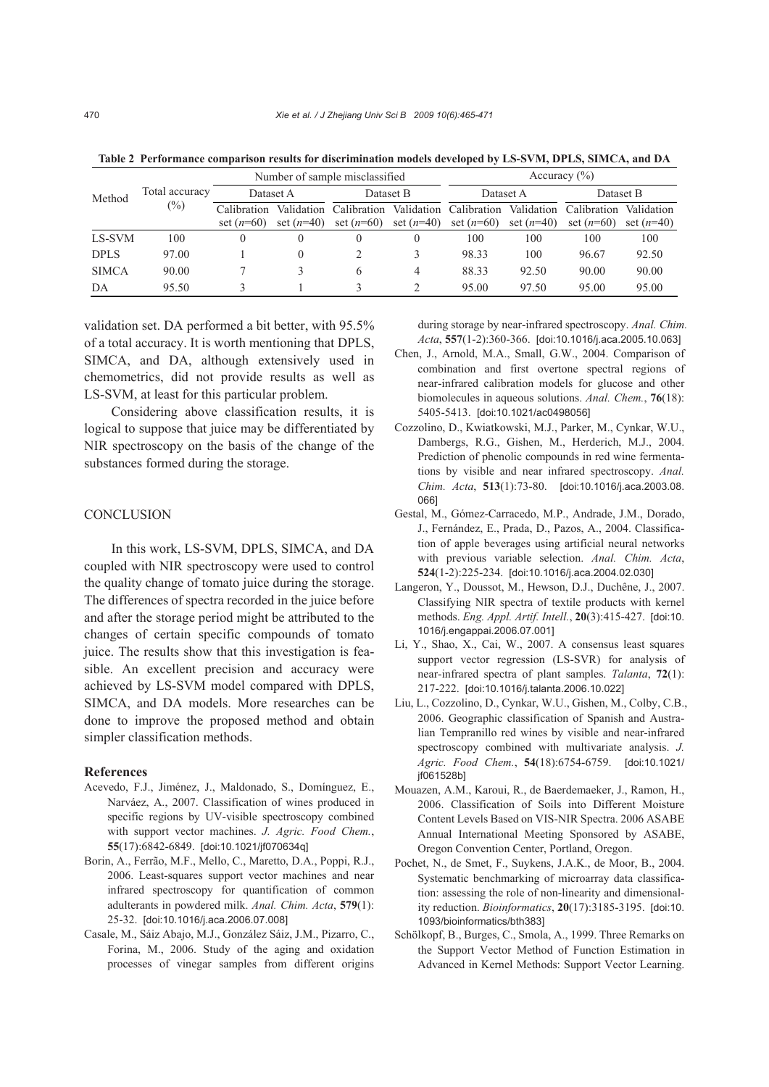| Method       | Total accuracy<br>$(\%)$ | Number of sample misclassified |              |              |              | Accuracy $(\% )$       |              |              |              |
|--------------|--------------------------|--------------------------------|--------------|--------------|--------------|------------------------|--------------|--------------|--------------|
|              |                          | Dataset A                      |              | Dataset B    |              | Dataset A              |              | Dataset B    |              |
|              |                          | Calibration                    | Validation   | Calibration  |              | Validation Calibration | Validation   | Calibration  | Validation   |
|              |                          | set $(n=60)$                   | set $(n=40)$ | set $(n=60)$ | set $(n=40)$ | set $(n=60)$           | set $(n=40)$ | set $(n=60)$ | set $(n=40)$ |
| LS-SVM       | 100                      |                                |              |              | $\theta$     | 100                    | 100          | 100          | 100          |
| <b>DPLS</b>  | 97.00                    |                                |              |              |              | 98.33                  | 100          | 96.67        | 92.50        |
| <b>SIMCA</b> | 90.00                    |                                |              | 6            | 4            | 88.33                  | 92.50        | 90.00        | 90.00        |
| DA           | 95.50                    |                                |              |              |              | 95.00                  | 97.50        | 95.00        | 95.00        |

**Table 2 Performance comparison results for discrimination models developed by LS-SVM, DPLS, SIMCA, and DA**

validation set. DA performed a bit better, with 95.5% of a total accuracy. It is worth mentioning that DPLS, SIMCA, and DA, although extensively used in chemometrics, did not provide results as well as LS-SVM, at least for this particular problem.

Considering above classification results, it is logical to suppose that juice may be differentiated by NIR spectroscopy on the basis of the change of the substances formed during the storage.

## **CONCLUSION**

In this work, LS-SVM, DPLS, SIMCA, and DA coupled with NIR spectroscopy were used to control the quality change of tomato juice during the storage. The differences of spectra recorded in the juice before and after the storage period might be attributed to the changes of certain specific compounds of tomato juice. The results show that this investigation is feasible. An excellent precision and accuracy were achieved by LS-SVM model compared with DPLS, SIMCA, and DA models. More researches can be done to improve the proposed method and obtain simpler classification methods.

#### **References**

- Acevedo, F.J., Jiménez, J., Maldonado, S., Domínguez, E., Narváez, A., 2007. Classification of wines produced in specific regions by UV-visible spectroscopy combined with support vector machines. *J. Agric. Food Chem.*, **55**(17):6842-6849. [doi:10.1021/jf070634q]
- Borin, A., Ferrão, M.F., Mello, C., Maretto, D.A., Poppi, R.J., 2006. Least-squares support vector machines and near infrared spectroscopy for quantification of common adulterants in powdered milk. *Anal. Chim. Acta*, **579**(1): 25-32. [doi:10.1016/j.aca.2006.07.008]
- Casale, M., Sáiz Abajo, M.J., González Sáiz, J.M., Pizarro, C., Forina, M., 2006. Study of the aging and oxidation processes of vinegar samples from different origins

during storage by near-infrared spectroscopy. *Anal. Chim. Acta*, **557**(1-2):360-366. [doi:10.1016/j.aca.2005.10.063]

- Chen, J., Arnold, M.A., Small, G.W., 2004. Comparison of combination and first overtone spectral regions of near-infrared calibration models for glucose and other biomolecules in aqueous solutions. *Anal. Chem.*, **76**(18): 5405-5413. [doi:10.1021/ac0498056]
- Cozzolino, D., Kwiatkowski, M.J., Parker, M., Cynkar, W.U., Dambergs, R.G., Gishen, M., Herderich, M.J., 2004. Prediction of phenolic compounds in red wine fermentations by visible and near infrared spectroscopy. *Anal. Chim. Acta*, **513**(1):73-80. [doi:10.1016/j.aca.2003.08. 066]
- Gestal, M., Gómez-Carracedo, M.P., Andrade, J.M., Dorado, J., Fernández, E., Prada, D., Pazos, A., 2004. Classification of apple beverages using artificial neural networks with previous variable selection. *Anal. Chim. Acta*, **524**(1-2):225-234. [doi:10.1016/j.aca.2004.02.030]
- Langeron, Y., Doussot, M., Hewson, D.J., Duchêne, J., 2007. Classifying NIR spectra of textile products with kernel methods. *Eng. Appl. Artif. Intell.*, **20**(3):415-427. [doi:10. 1016/j.engappai.2006.07.001]
- Li, Y., Shao, X., Cai, W., 2007. A consensus least squares support vector regression (LS-SVR) for analysis of near-infrared spectra of plant samples. *Talanta*, **72**(1): 217-222. [doi:10.1016/j.talanta.2006.10.022]
- Liu, L., Cozzolino, D., Cynkar, W.U., Gishen, M., Colby, C.B., 2006. Geographic classification of Spanish and Australian Tempranillo red wines by visible and near-infrared spectroscopy combined with multivariate analysis. *J. Agric. Food Chem.*, **54**(18):6754-6759. [doi:10.1021/ jf061528b]
- Mouazen, A.M., Karoui, R., de Baerdemaeker, J., Ramon, H., 2006. Classification of Soils into Different Moisture Content Levels Based on VIS-NIR Spectra. 2006 ASABE Annual International Meeting Sponsored by ASABE, Oregon Convention Center, Portland, Oregon.
- Pochet, N., de Smet, F., Suykens, J.A.K., de Moor, B., 2004. Systematic benchmarking of microarray data classification: assessing the role of non-linearity and dimensionality reduction. *Bioinformatics*, **20**(17):3185-3195. [doi:10. 1093/bioinformatics/bth383]
- Schölkopf, B., Burges, C., Smola, A., 1999. Three Remarks on the Support Vector Method of Function Estimation in Advanced in Kernel Methods: Support Vector Learning.